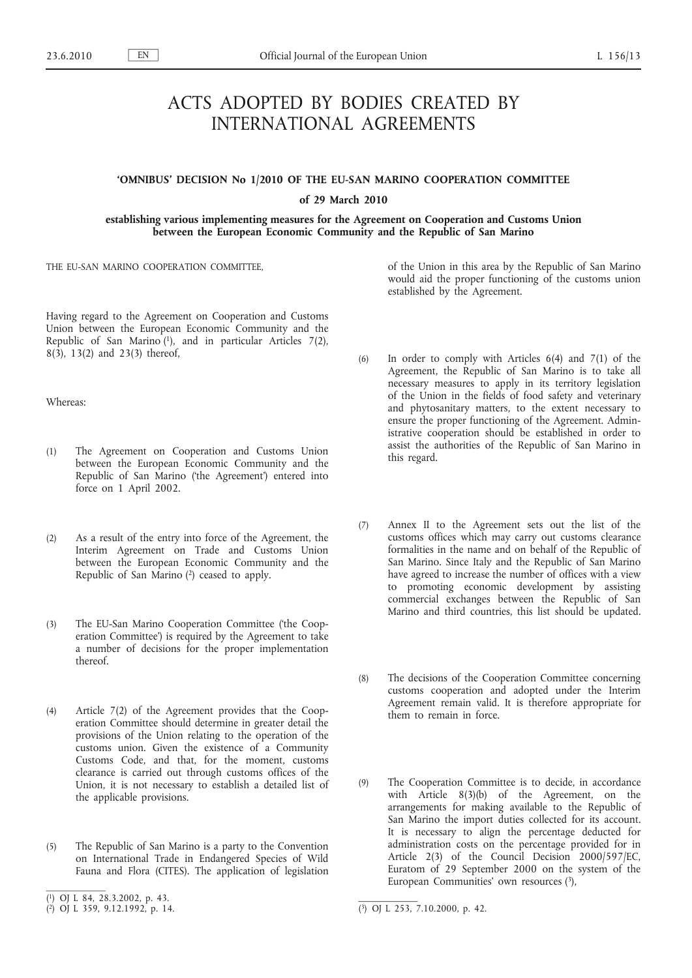# ACTS ADOPTED BY BODIES CREATED BY INTERNATIONAL AGREEMENTS

# **'OMNIBUS' DECISION No 1/2010 OF THE EU-SAN MARINO COOPERATION COMMITTEE**

# **of 29 March 2010**

**establishing various implementing measures for the Agreement on Cooperation and Customs Union between the European Economic Community and the Republic of San Marino**

THE EU-SAN MARINO COOPERATION COMMITTEE,

Having regard to the Agreement on Cooperation and Customs Union between the European Economic Community and the Republic of San Marino  $(1)$ , and in particular Articles 7(2), 8(3), 13(2) and 23(3) thereof,

Whereas:

- (1) The Agreement on Cooperation and Customs Union between the European Economic Community and the Republic of San Marino ('the Agreement') entered into force on 1 April 2002.
- (2) As a result of the entry into force of the Agreement, the Interim Agreement on Trade and Customs Union between the European Economic Community and the Republic of San Marino  $(2)$  ceased to apply.
- (3) The EU-San Marino Cooperation Committee ('the Cooperation Committee') is required by the Agreement to take a number of decisions for the proper implementation thereof.
- (4) Article 7(2) of the Agreement provides that the Cooperation Committee should determine in greater detail the provisions of the Union relating to the operation of the customs union. Given the existence of a Community Customs Code, and that, for the moment, customs clearance is carried out through customs offices of the Union, it is not necessary to establish a detailed list of the applicable provisions.
- (5) The Republic of San Marino is a party to the Convention on International Trade in Endangered Species of Wild Fauna and Flora (CITES). The application of legislation

of the Union in this area by the Republic of San Marino would aid the proper functioning of the customs union established by the Agreement.

- (6) In order to comply with Articles 6(4) and 7(1) of the Agreement, the Republic of San Marino is to take all necessary measures to apply in its territory legislation of the Union in the fields of food safety and veterinary and phytosanitary matters, to the extent necessary to ensure the proper functioning of the Agreement. Administrative cooperation should be established in order to assist the authorities of the Republic of San Marino in this regard.
- (7) Annex II to the Agreement sets out the list of the customs offices which may carry out customs clearance formalities in the name and on behalf of the Republic of San Marino. Since Italy and the Republic of San Marino have agreed to increase the number of offices with a view to promoting economic development by assisting commercial exchanges between the Republic of San Marino and third countries, this list should be updated.
- (8) The decisions of the Cooperation Committee concerning customs cooperation and adopted under the Interim Agreement remain valid. It is therefore appropriate for them to remain in force.
- (9) The Cooperation Committee is to decide, in accordance with Article 8(3)(b) of the Agreement, on the arrangements for making available to the Republic of San Marino the import duties collected for its account. It is necessary to align the percentage deducted for administration costs on the percentage provided for in Article 2(3) of the Council Decision 2000/597/EC, Euratom of 29 September 2000 on the system of the European Communities' own resources (3),

<sup>(</sup> 1) OJ L 84, 28.3.2002, p. 43.

<sup>(</sup> 2) OJ L 359, 9.12.1992, p. 14. (3) OJ L 253, 7.10.2000, p. 42.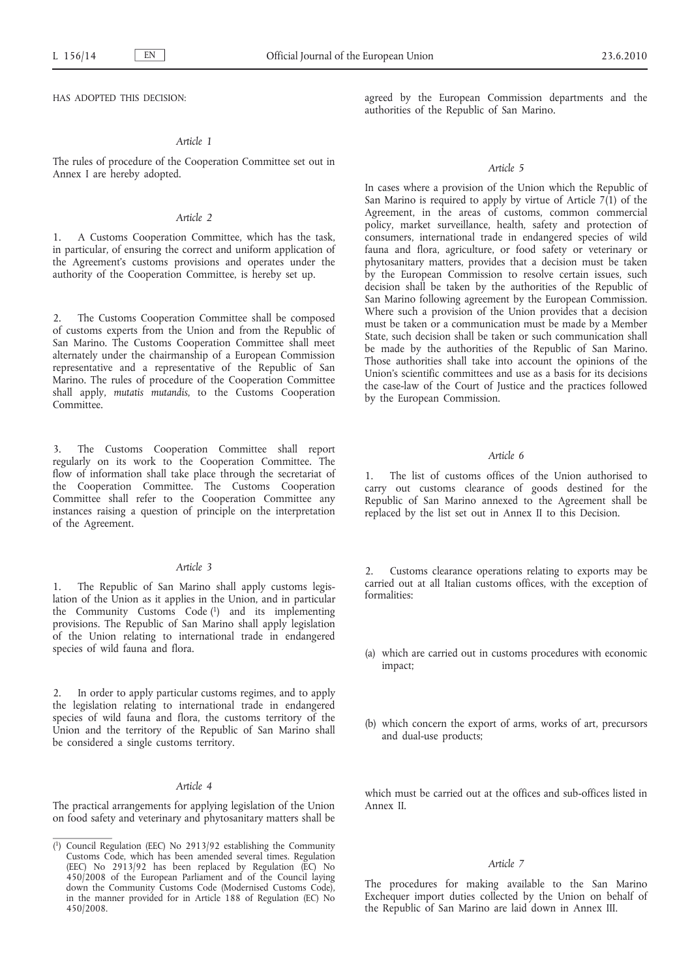HAS ADOPTED THIS DECISION:

# *Article 1*

The rules of procedure of the Cooperation Committee set out in Annex I are hereby adopted.

# *Article 2*

1. A Customs Cooperation Committee, which has the task, in particular, of ensuring the correct and uniform application of the Agreement's customs provisions and operates under the authority of the Cooperation Committee, is hereby set up.

The Customs Cooperation Committee shall be composed of customs experts from the Union and from the Republic of San Marino. The Customs Cooperation Committee shall meet alternately under the chairmanship of a European Commission representative and a representative of the Republic of San Marino. The rules of procedure of the Cooperation Committee shall apply, *mutatis mutandis*, to the Customs Cooperation Committee.

3. The Customs Cooperation Committee shall report regularly on its work to the Cooperation Committee. The flow of information shall take place through the secretariat of the Cooperation Committee. The Customs Cooperation Committee shall refer to the Cooperation Committee any instances raising a question of principle on the interpretation of the Agreement.

# *Article 3*

1. The Republic of San Marino shall apply customs legislation of the Union as it applies in the Union, and in particular the Community Customs Code (1) and its implementing provisions. The Republic of San Marino shall apply legislation of the Union relating to international trade in endangered species of wild fauna and flora.

2. In order to apply particular customs regimes, and to apply the legislation relating to international trade in endangered species of wild fauna and flora, the customs territory of the Union and the territory of the Republic of San Marino shall be considered a single customs territory.

#### *Article 4*

The practical arrangements for applying legislation of the Union on food safety and veterinary and phytosanitary matters shall be agreed by the European Commission departments and the authorities of the Republic of San Marino.

### *Article 5*

In cases where a provision of the Union which the Republic of San Marino is required to apply by virtue of Article  $7(1)$  of the Agreement, in the areas of customs, common commercial policy, market surveillance, health, safety and protection of consumers, international trade in endangered species of wild fauna and flora, agriculture, or food safety or veterinary or phytosanitary matters, provides that a decision must be taken by the European Commission to resolve certain issues, such decision shall be taken by the authorities of the Republic of San Marino following agreement by the European Commission. Where such a provision of the Union provides that a decision must be taken or a communication must be made by a Member State, such decision shall be taken or such communication shall be made by the authorities of the Republic of San Marino. Those authorities shall take into account the opinions of the Union's scientific committees and use as a basis for its decisions the case-law of the Court of Justice and the practices followed by the European Commission.

## *Article 6*

1. The list of customs offices of the Union authorised to carry out customs clearance of goods destined for the Republic of San Marino annexed to the Agreement shall be replaced by the list set out in Annex II to this Decision.

2. Customs clearance operations relating to exports may be carried out at all Italian customs offices, with the exception of formalities:

- (a) which are carried out in customs procedures with economic impact;
- (b) which concern the export of arms, works of art, precursors and dual-use products;

which must be carried out at the offices and sub-offices listed in Annex II.

## *Article 7*

The procedures for making available to the San Marino Exchequer import duties collected by the Union on behalf of the Republic of San Marino are laid down in Annex III.

<sup>(</sup> 1) Council Regulation (EEC) No 2913/92 establishing the Community Customs Code, which has been amended several times. Regulation (EEC) No 2913/92 has been replaced by Regulation (EC) No 450/2008 of the European Parliament and of the Council laying down the Community Customs Code (Modernised Customs Code), in the manner provided for in Article 188 of Regulation (EC) No 450/2008.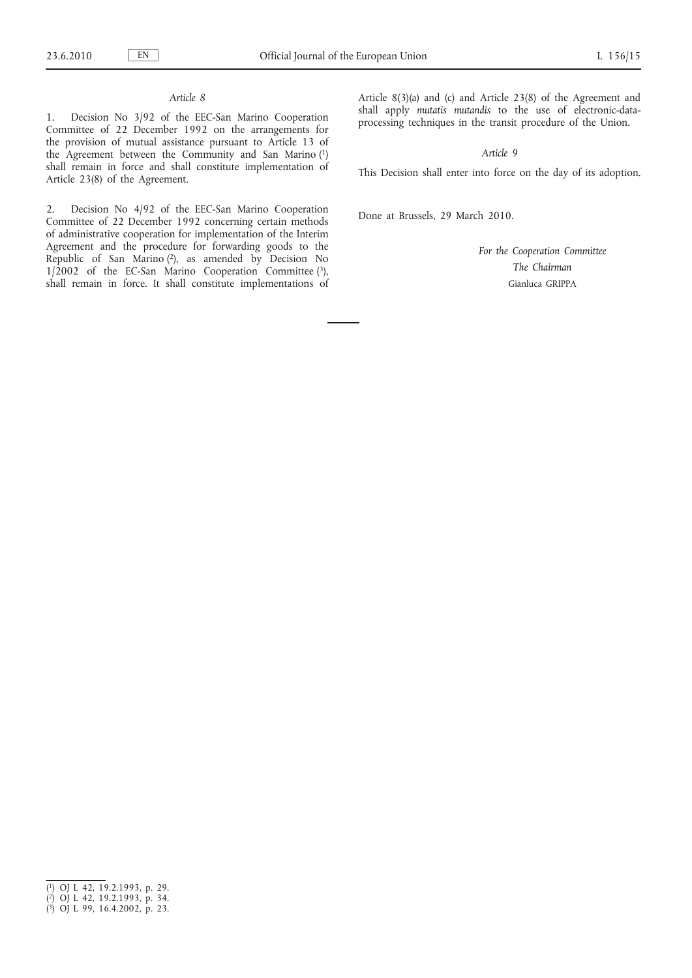# *Article 8*

1. Decision No 3/92 of the EEC-San Marino Cooperation Committee of 22 December 1992 on the arrangements for the provision of mutual assistance pursuant to Article 13 of the Agreement between the Community and San Marino (1) shall remain in force and shall constitute implementation of Article 23(8) of the Agreement.

2. Decision No 4/92 of the EEC-San Marino Cooperation Committee of 22 December 1992 concerning certain methods of administrative cooperation for implementation of the Interim Agreement and the procedure for forwarding goods to the Republic of San Marino (2), as amended by Decision No  $1/2002$  of the EC-San Marino Cooperation Committee (3), shall remain in force. It shall constitute implementations of Article 8(3)(a) and (c) and Article 23(8) of the Agreement and shall apply *mutatis mutandis* to the use of electronic-dataprocessing techniques in the transit procedure of the Union.

*Article 9*

This Decision shall enter into force on the day of its adoption.

Done at Brussels, 29 March 2010.

*For the Cooperation Committee The Chairman* Gianluca GRIPPA

<sup>(</sup> 1) OJ L 42, 19.2.1993, p. 29.

<sup>(</sup> 2) OJ L 42, 19.2.1993, p. 34.

<sup>(</sup> 3) OJ L 99, 16.4.2002, p. 23.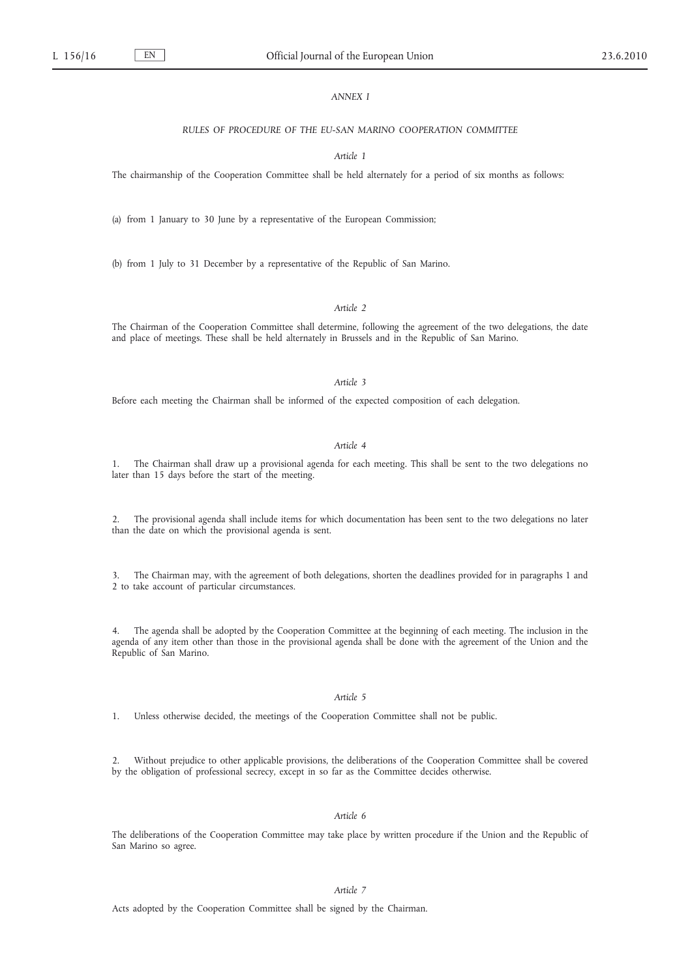## *ANNEX I*

#### *RULES OF PROCEDURE OF THE EU-SAN MARINO COOPERATION COMMITTEE*

#### *Article 1*

The chairmanship of the Cooperation Committee shall be held alternately for a period of six months as follows:

(a) from 1 January to 30 June by a representative of the European Commission;

(b) from 1 July to 31 December by a representative of the Republic of San Marino.

## *Article 2*

The Chairman of the Cooperation Committee shall determine, following the agreement of the two delegations, the date and place of meetings. These shall be held alternately in Brussels and in the Republic of San Marino.

*Article 3*

Before each meeting the Chairman shall be informed of the expected composition of each delegation.

*Article 4*

1. The Chairman shall draw up a provisional agenda for each meeting. This shall be sent to the two delegations no later than 15 days before the start of the meeting.

2. The provisional agenda shall include items for which documentation has been sent to the two delegations no later than the date on which the provisional agenda is sent.

3. The Chairman may, with the agreement of both delegations, shorten the deadlines provided for in paragraphs 1 and 2 to take account of particular circumstances.

4. The agenda shall be adopted by the Cooperation Committee at the beginning of each meeting. The inclusion in the agenda of any item other than those in the provisional agenda shall be done with the agreement of the Union and the Republic of San Marino.

## *Article 5*

1. Unless otherwise decided, the meetings of the Cooperation Committee shall not be public.

2. Without prejudice to other applicable provisions, the deliberations of the Cooperation Committee shall be covered by the obligation of professional secrecy, except in so far as the Committee decides otherwise.

# *Article 6*

The deliberations of the Cooperation Committee may take place by written procedure if the Union and the Republic of San Marino so agree.

## *Article 7*

Acts adopted by the Cooperation Committee shall be signed by the Chairman.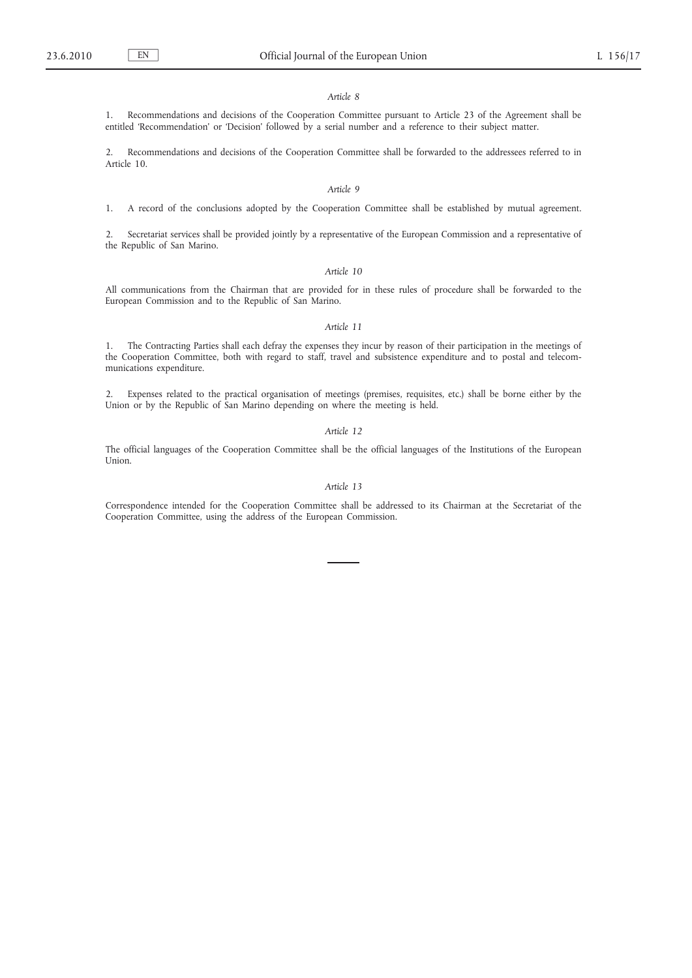#### *Article 8*

1. Recommendations and decisions of the Cooperation Committee pursuant to Article 23 of the Agreement shall be entitled 'Recommendation' or 'Decision' followed by a serial number and a reference to their subject matter.

2. Recommendations and decisions of the Cooperation Committee shall be forwarded to the addressees referred to in Article 10.

## *Article 9*

1. A record of the conclusions adopted by the Cooperation Committee shall be established by mutual agreement.

2. Secretariat services shall be provided jointly by a representative of the European Commission and a representative of the Republic of San Marino.

#### *Article 10*

All communications from the Chairman that are provided for in these rules of procedure shall be forwarded to the European Commission and to the Republic of San Marino.

## *Article 11*

1. The Contracting Parties shall each defray the expenses they incur by reason of their participation in the meetings of the Cooperation Committee, both with regard to staff, travel and subsistence expenditure and to postal and telecommunications expenditure.

2. Expenses related to the practical organisation of meetings (premises, requisites, etc.) shall be borne either by the Union or by the Republic of San Marino depending on where the meeting is held.

*Article 12*

The official languages of the Cooperation Committee shall be the official languages of the Institutions of the European Union.

#### *Article 13*

Correspondence intended for the Cooperation Committee shall be addressed to its Chairman at the Secretariat of the Cooperation Committee, using the address of the European Commission.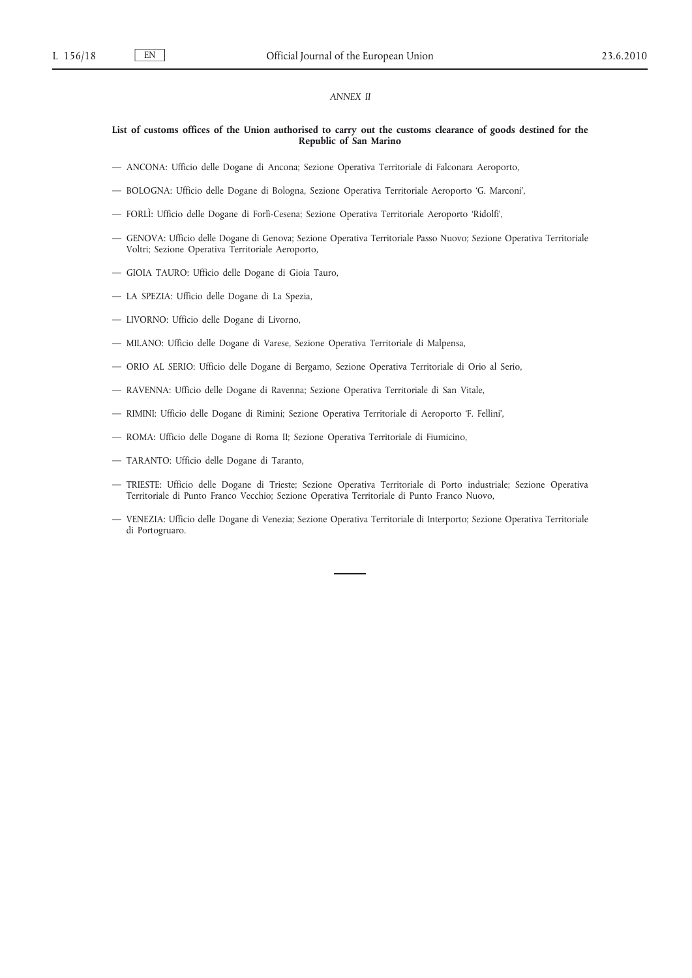## *ANNEX II*

### **List of customs offices of the Union authorised to carry out the customs clearance of goods destined for the Republic of San Marino**

- ANCONA: Ufficio delle Dogane di Ancona; Sezione Operativa Territoriale di Falconara Aeroporto,
- BOLOGNA: Ufficio delle Dogane di Bologna, Sezione Operativa Territoriale Aeroporto 'G. Marconi',
- FORLÌ: Ufficio delle Dogane di Forlì-Cesena; Sezione Operativa Territoriale Aeroporto 'Ridolfi',
- GENOVA: Ufficio delle Dogane di Genova; Sezione Operativa Territoriale Passo Nuovo; Sezione Operativa Territoriale Voltri; Sezione Operativa Territoriale Aeroporto,
- GIOIA TAURO: Ufficio delle Dogane di Gioia Tauro,
- LA SPEZIA: Ufficio delle Dogane di La Spezia,
- LIVORNO: Ufficio delle Dogane di Livorno,
- MILANO: Ufficio delle Dogane di Varese, Sezione Operativa Territoriale di Malpensa,
- ORIO AL SERIO: Ufficio delle Dogane di Bergamo, Sezione Operativa Territoriale di Orio al Serio,
- RAVENNA: Ufficio delle Dogane di Ravenna; Sezione Operativa Territoriale di San Vitale,
- RIMINI: Ufficio delle Dogane di Rimini; Sezione Operativa Territoriale di Aeroporto 'F. Fellini',
- ROMA: Ufficio delle Dogane di Roma II; Sezione Operativa Territoriale di Fiumicino,
- TARANTO: Ufficio delle Dogane di Taranto,
- TRIESTE: Ufficio delle Dogane di Trieste; Sezione Operativa Territoriale di Porto industriale; Sezione Operativa Territoriale di Punto Franco Vecchio; Sezione Operativa Territoriale di Punto Franco Nuovo,
- VENEZIA: Ufficio delle Dogane di Venezia; Sezione Operativa Territoriale di Interporto; Sezione Operativa Territoriale di Portogruaro.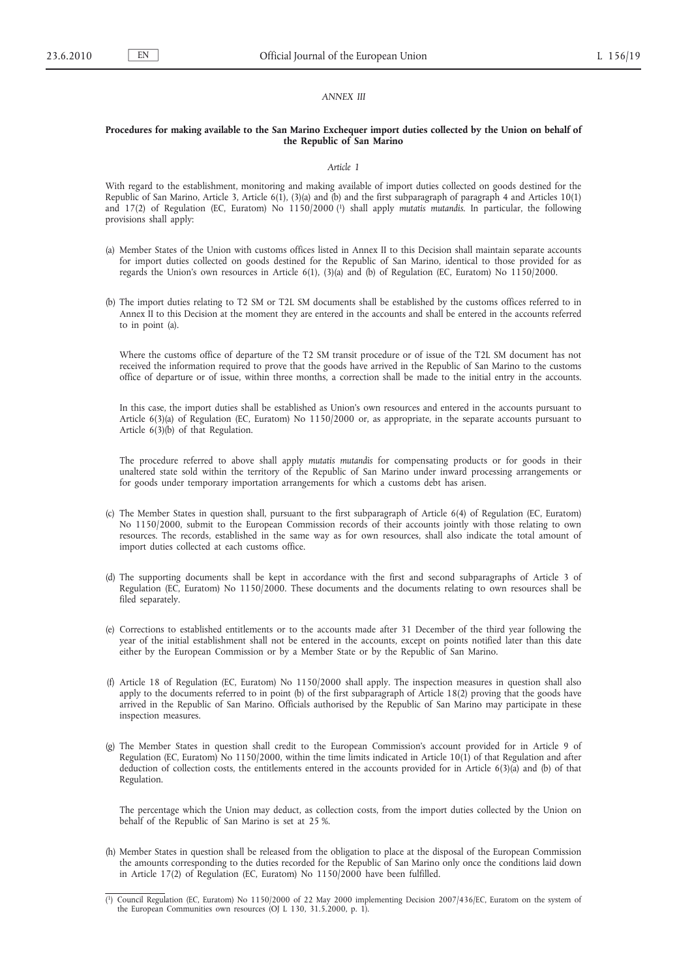### *ANNEX III*

#### **Procedures for making available to the San Marino Exchequer import duties collected by the Union on behalf of the Republic of San Marino**

#### *Article 1*

With regard to the establishment, monitoring and making available of import duties collected on goods destined for the Republic of San Marino, Article 3, Article 6(1), (3)(a) and (b) and the first subparagraph of paragraph 4 and Articles 10(1) and 17(2) of Regulation (EC, Euratom) No 1150/2000 (1) shall apply *mutatis mutandis*. In particular, the following provisions shall apply:

- (a) Member States of the Union with customs offices listed in Annex II to this Decision shall maintain separate accounts for import duties collected on goods destined for the Republic of San Marino, identical to those provided for as regards the Union's own resources in Article 6(1), (3)(a) and (b) of Regulation (EC, Euratom) No 1150/2000.
- (b) The import duties relating to T2 SM or T2L SM documents shall be established by the customs offices referred to in Annex II to this Decision at the moment they are entered in the accounts and shall be entered in the accounts referred to in point (a).

Where the customs office of departure of the T2 SM transit procedure or of issue of the T2L SM document has not received the information required to prove that the goods have arrived in the Republic of San Marino to the customs office of departure or of issue, within three months, a correction shall be made to the initial entry in the accounts.

In this case, the import duties shall be established as Union's own resources and entered in the accounts pursuant to Article 6(3)(a) of Regulation (EC, Euratom) No 1150/2000 or, as appropriate, in the separate accounts pursuant to Article 6(3)(b) of that Regulation.

The procedure referred to above shall apply *mutatis mutandis* for compensating products or for goods in their unaltered state sold within the territory of the Republic of San Marino under inward processing arrangements or for goods under temporary importation arrangements for which a customs debt has arisen.

- (c) The Member States in question shall, pursuant to the first subparagraph of Article 6(4) of Regulation (EC, Euratom) No 1150/2000, submit to the European Commission records of their accounts jointly with those relating to own resources. The records, established in the same way as for own resources, shall also indicate the total amount of import duties collected at each customs office.
- (d) The supporting documents shall be kept in accordance with the first and second subparagraphs of Article 3 of Regulation (EC, Euratom) No 1150/2000. These documents and the documents relating to own resources shall be filed separately.
- (e) Corrections to established entitlements or to the accounts made after 31 December of the third year following the year of the initial establishment shall not be entered in the accounts, except on points notified later than this date either by the European Commission or by a Member State or by the Republic of San Marino.
- (f) Article 18 of Regulation (EC, Euratom) No 1150/2000 shall apply. The inspection measures in question shall also apply to the documents referred to in point (b) of the first subparagraph of Article 18(2) proving that the goods have arrived in the Republic of San Marino. Officials authorised by the Republic of San Marino may participate in these inspection measures.
- (g) The Member States in question shall credit to the European Commission's account provided for in Article 9 of Regulation (EC, Euratom) No 1150/2000, within the time limits indicated in Article 10(1) of that Regulation and after deduction of collection costs, the entitlements entered in the accounts provided for in Article 6(3)(a) and (b) of that Regulation.

The percentage which the Union may deduct, as collection costs, from the import duties collected by the Union on behalf of the Republic of San Marino is set at 25 %.

(h) Member States in question shall be released from the obligation to place at the disposal of the European Commission the amounts corresponding to the duties recorded for the Republic of San Marino only once the conditions laid down in Article 17(2) of Regulation (EC, Euratom) No 1150/2000 have been fulfilled.

<sup>(</sup> 1) Council Regulation (EC, Euratom) No 1150/2000 of 22 May 2000 implementing Decision 2007/436/EC, Euratom on the system of the European Communities own resources (OJ L 130, 31.5.2000, p. 1).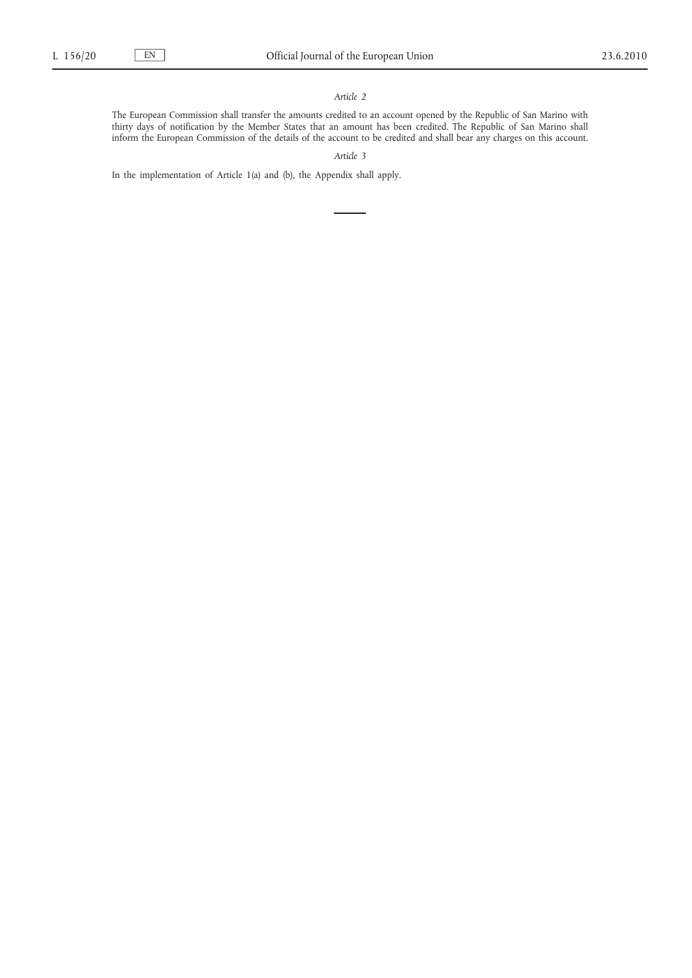# *Article 2*

The European Commission shall transfer the amounts credited to an account opened by the Republic of San Marino with thirty days of notification by the Member States that an amount has been credited. The Republic of San Marino shall inform the European Commission of the details of the account to be credited and shall bear any charges on this account.

*Article 3*

In the implementation of Article 1(a) and (b), the Appendix shall apply.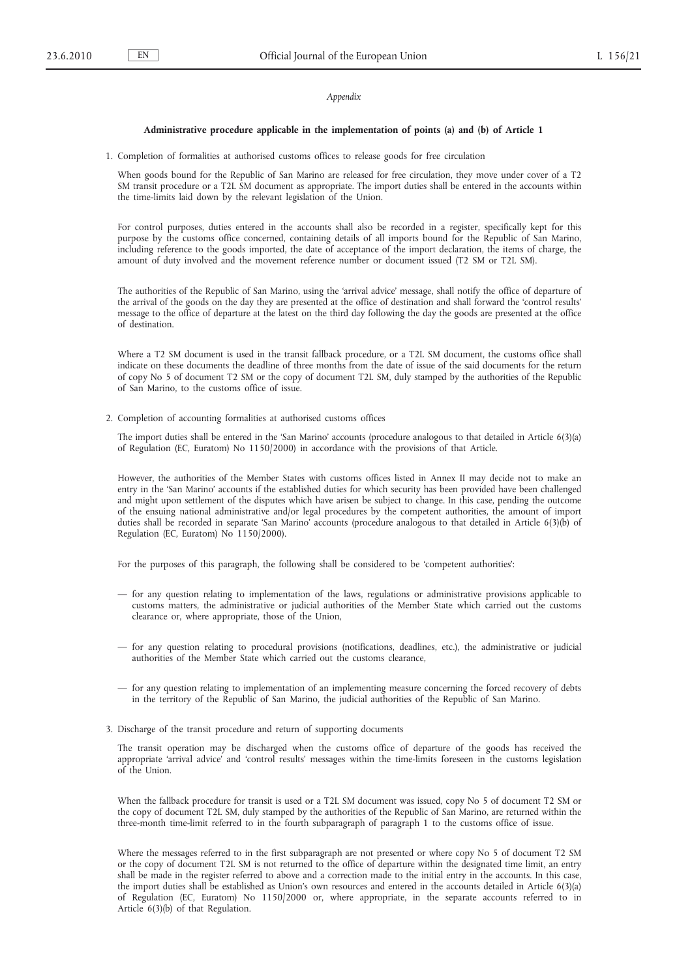#### *Appendix*

#### **Administrative procedure applicable in the implementation of points (a) and (b) of Article 1**

1. Completion of formalities at authorised customs offices to release goods for free circulation

When goods bound for the Republic of San Marino are released for free circulation, they move under cover of a T2 SM transit procedure or a T2L SM document as appropriate. The import duties shall be entered in the accounts within the time-limits laid down by the relevant legislation of the Union.

For control purposes, duties entered in the accounts shall also be recorded in a register, specifically kept for this purpose by the customs office concerned, containing details of all imports bound for the Republic of San Marino, including reference to the goods imported, the date of acceptance of the import declaration, the items of charge, the amount of duty involved and the movement reference number or document issued (T2 SM or T2L SM).

The authorities of the Republic of San Marino, using the 'arrival advice' message, shall notify the office of departure of the arrival of the goods on the day they are presented at the office of destination and shall forward the 'control results' message to the office of departure at the latest on the third day following the day the goods are presented at the office of destination.

Where a T2 SM document is used in the transit fallback procedure, or a T2L SM document, the customs office shall indicate on these documents the deadline of three months from the date of issue of the said documents for the return of copy No 5 of document T2 SM or the copy of document T2L SM, duly stamped by the authorities of the Republic of San Marino, to the customs office of issue.

2. Completion of accounting formalities at authorised customs offices

The import duties shall be entered in the 'San Marino' accounts (procedure analogous to that detailed in Article 6(3)(a) of Regulation (EC, Euratom) No 1150/2000) in accordance with the provisions of that Article.

However, the authorities of the Member States with customs offices listed in Annex II may decide not to make an entry in the 'San Marino' accounts if the established duties for which security has been provided have been challenged and might upon settlement of the disputes which have arisen be subject to change. In this case, pending the outcome of the ensuing national administrative and/or legal procedures by the competent authorities, the amount of import duties shall be recorded in separate 'San Marino' accounts (procedure analogous to that detailed in Article 6(3)(b) of Regulation (EC, Euratom) No 1150/2000).

For the purposes of this paragraph, the following shall be considered to be 'competent authorities':

- for any question relating to implementation of the laws, regulations or administrative provisions applicable to customs matters, the administrative or judicial authorities of the Member State which carried out the customs clearance or, where appropriate, those of the Union,
- for any question relating to procedural provisions (notifications, deadlines, etc.), the administrative or judicial authorities of the Member State which carried out the customs clearance,
- for any question relating to implementation of an implementing measure concerning the forced recovery of debts in the territory of the Republic of San Marino, the judicial authorities of the Republic of San Marino.
- 3. Discharge of the transit procedure and return of supporting documents

The transit operation may be discharged when the customs office of departure of the goods has received the appropriate 'arrival advice' and 'control results' messages within the time-limits foreseen in the customs legislation of the Union.

When the fallback procedure for transit is used or a T2L SM document was issued, copy No 5 of document T2 SM or the copy of document T2L SM, duly stamped by the authorities of the Republic of San Marino, are returned within the three-month time-limit referred to in the fourth subparagraph of paragraph 1 to the customs office of issue.

Where the messages referred to in the first subparagraph are not presented or where copy No 5 of document T2 SM or the copy of document T2L SM is not returned to the office of departure within the designated time limit, an entry shall be made in the register referred to above and a correction made to the initial entry in the accounts. In this case, the import duties shall be established as Union's own resources and entered in the accounts detailed in Article 6(3)(a) of Regulation (EC, Euratom) No 1150/2000 or, where appropriate, in the separate accounts referred to in Article 6(3)(b) of that Regulation.